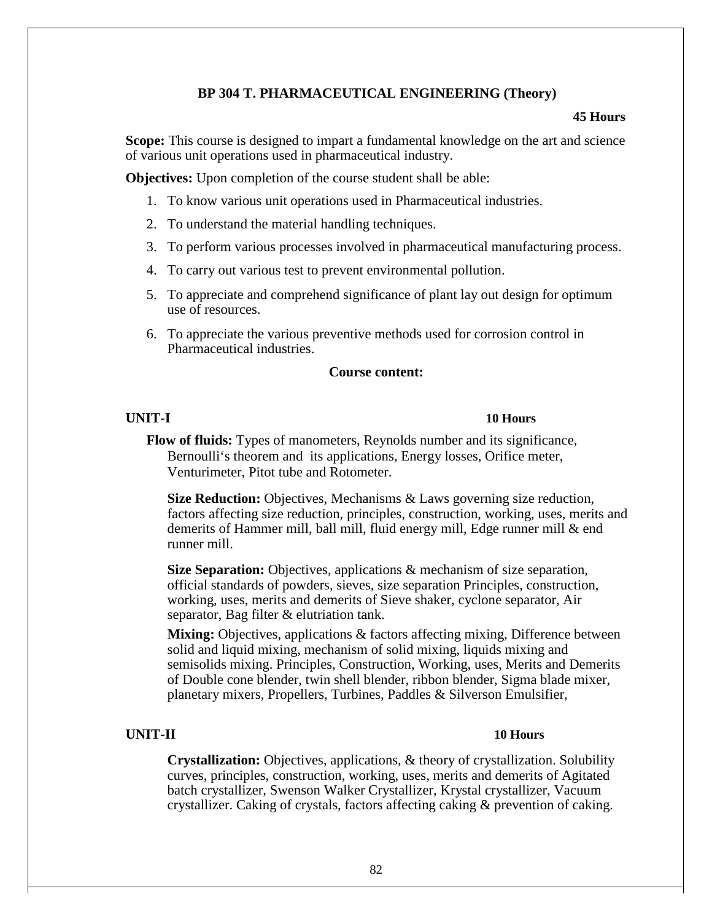## **BP 304 T. PHARMACEUTICAL ENGINEERING (Theory)**

#### **45 Hours**

**Scope:** This course is designed to impart a fundamental knowledge on the art and science of various unit operations used in pharmaceutical industry.

**Objectives:** Upon completion of the course student shall be able:

- 1. To know various unit operations used in Pharmaceutical industries.
- 2. To understand the material handling techniques.
- 3. To perform various processes involved in pharmaceutical manufacturing process.
- 4. To carry out various test to prevent environmental pollution.
- 5. To appreciate and comprehend significance of plant lay out design for optimum use of resources.
- 6. To appreciate the various preventive methods used for corrosion control in Pharmaceutical industries.

#### **Course content:**

### **UNIT-I 10 Hours**

**Flow of fluids:** Types of manometers, Reynolds number and its significance, Bernoulli's theorem and its applications, Energy losses, Orifice meter, Venturimeter, Pitot tube and Rotometer.

**Size Reduction:** Objectives, Mechanisms & Laws governing size reduction, factors affecting size reduction, principles, construction, working, uses, merits and demerits of Hammer mill, ball mill, fluid energy mill, Edge runner mill & end runner mill.

**Size Separation:** Objectives, applications & mechanism of size separation, official standards of powders, sieves, size separation Principles, construction, working, uses, merits and demerits of Sieve shaker, cyclone separator, Air separator, Bag filter & elutriation tank.

**Mixing:** Objectives, applications & factors affecting mixing, Difference between solid and liquid mixing, mechanism of solid mixing, liquids mixing and semisolids mixing. Principles, Construction, Working, uses, Merits and Demerits of Double cone blender, twin shell blender, ribbon blender, Sigma blade mixer, planetary mixers, Propellers, Turbines, Paddles & Silverson Emulsifier,

## **UNIT-II 10 Hours**

**Crystallization:** Objectives, applications, & theory of crystallization. Solubility curves, principles, construction, working, uses, merits and demerits of Agitated batch crystallizer, Swenson Walker Crystallizer, Krystal crystallizer, Vacuum crystallizer. Caking of crystals, factors affecting caking & prevention of caking.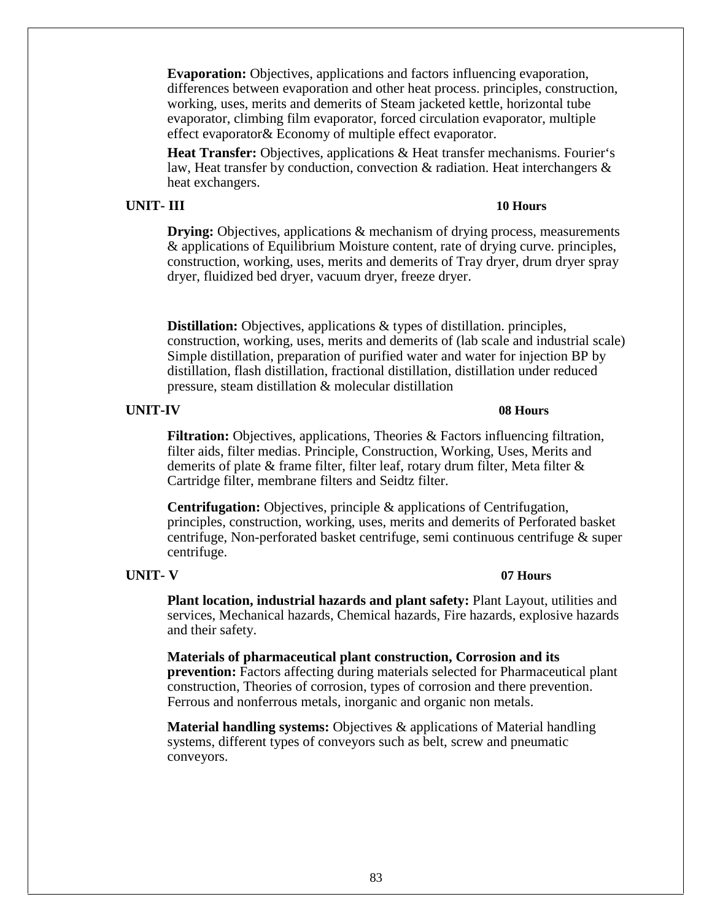**Evaporation:** Objectives, applications and factors influencing evaporation, differences between evaporation and other heat process. principles, construction, working, uses, merits and demerits of Steam jacketed kettle, horizontal tube evaporator, climbing film evaporator, forced circulation evaporator, multiple effect evaporator& Economy of multiple effect evaporator.

**Heat Transfer:** Objectives, applications & Heat transfer mechanisms. Fourier's law, Heat transfer by conduction, convection & radiation. Heat interchangers & heat exchangers.

## **UNIT- III 10 Hours**

**Drying:** Objectives, applications & mechanism of drying process, measurements & applications of Equilibrium Moisture content, rate of drying curve. principles, construction, working, uses, merits and demerits of Tray dryer, drum dryer spray dryer, fluidized bed dryer, vacuum dryer, freeze dryer.

**Distillation:** Objectives, applications & types of distillation. principles, construction, working, uses, merits and demerits of (lab scale and industrial scale) Simple distillation, preparation of purified water and water for injection BP by distillation, flash distillation, fractional distillation, distillation under reduced pressure, steam distillation & molecular distillation

### **UNIT-IV 08 Hours**

**Filtration:** Objectives, applications, Theories & Factors influencing filtration, filter aids, filter medias. Principle, Construction, Working, Uses, Merits and demerits of plate & frame filter, filter leaf, rotary drum filter, Meta filter & Cartridge filter, membrane filters and Seidtz filter.

**Centrifugation:** Objectives, principle & applications of Centrifugation, principles, construction, working, uses, merits and demerits of Perforated basket centrifuge, Non-perforated basket centrifuge, semi continuous centrifuge & super centrifuge.

# **UNIT- V 07 Hours**

**Plant location, industrial hazards and plant safety:** Plant Layout, utilities and services, Mechanical hazards, Chemical hazards, Fire hazards, explosive hazards and their safety.

**Materials of pharmaceutical plant construction, Corrosion and its prevention:** Factors affecting during materials selected for Pharmaceutical plant construction, Theories of corrosion, types of corrosion and there prevention. Ferrous and nonferrous metals, inorganic and organic non metals.

**Material handling systems:** Objectives & applications of Material handling systems, different types of conveyors such as belt, screw and pneumatic conveyors.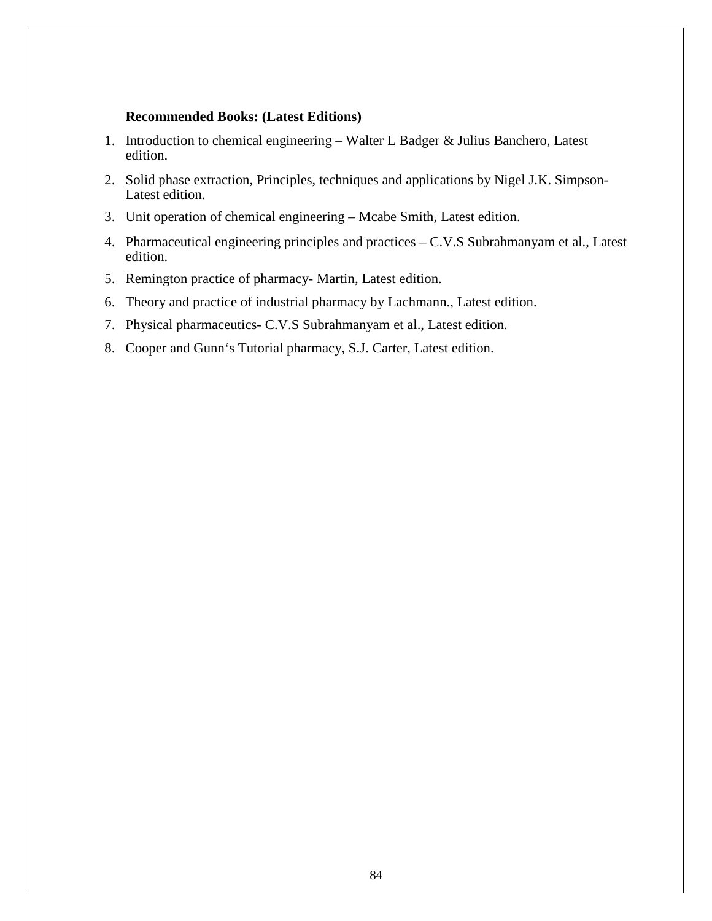### **Recommended Books: (Latest Editions)**

- 1. Introduction to chemical engineering Walter L Badger & Julius Banchero, Latest edition.
- 2. Solid phase extraction, Principles, techniques and applications by Nigel J.K. Simpson-Latest edition.
- 3. Unit operation of chemical engineering Mcabe Smith, Latest edition.
- 4. Pharmaceutical engineering principles and practices C.V.S Subrahmanyam et al., Latest edition.
- 5. Remington practice of pharmacy- Martin, Latest edition.
- 6. Theory and practice of industrial pharmacy by Lachmann., Latest edition.
- 7. Physical pharmaceutics- C.V.S Subrahmanyam et al., Latest edition.
- 8. Cooper and Gunn's Tutorial pharmacy, S.J. Carter, Latest edition.